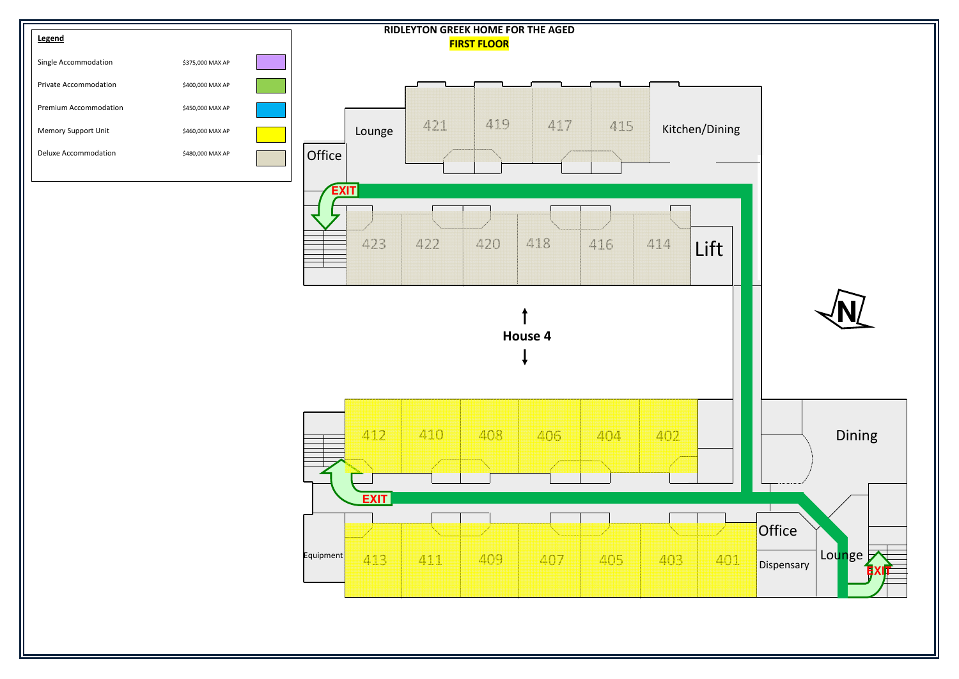